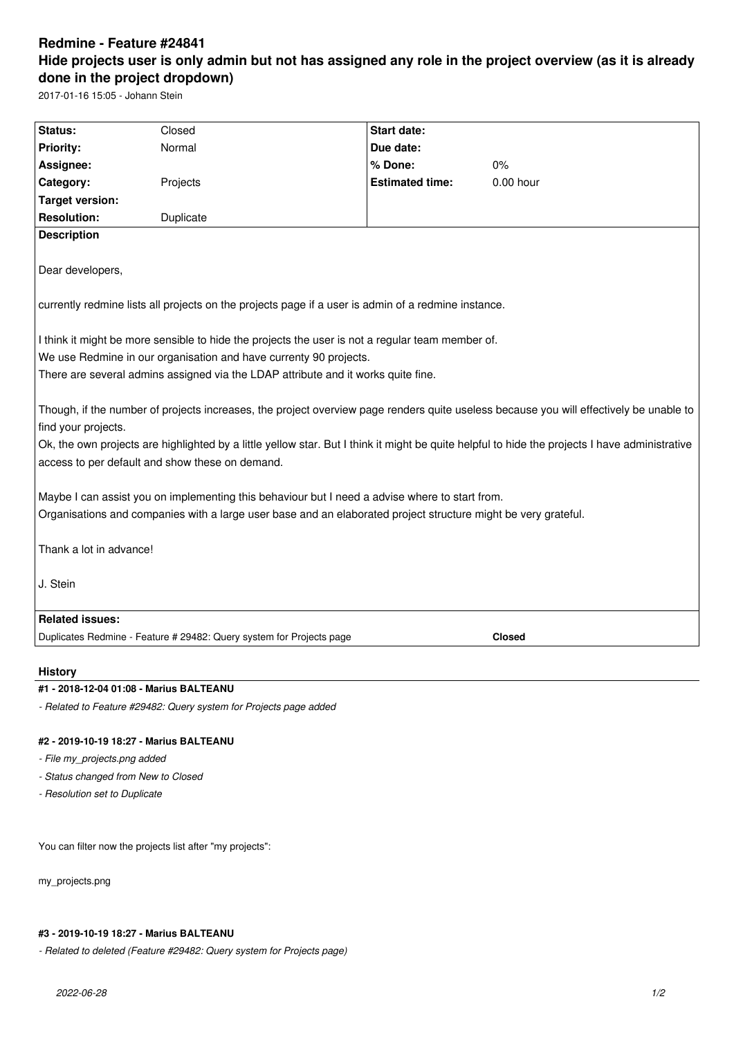# **Redmine - Feature #24841 Hide projects user is only admin but not has assigned any role in the project overview (as it is already done in the project dropdown)**

2017-01-16 15:05 - Johann Stein

| Status:                                                                                                                                                                                                                                                    | Closed                                                               | <b>Start date:</b>     |               |
|------------------------------------------------------------------------------------------------------------------------------------------------------------------------------------------------------------------------------------------------------------|----------------------------------------------------------------------|------------------------|---------------|
| Priority:                                                                                                                                                                                                                                                  | Normal                                                               | Due date:              |               |
| Assignee:                                                                                                                                                                                                                                                  |                                                                      | % Done:                | 0%            |
| Category:                                                                                                                                                                                                                                                  | Projects                                                             | <b>Estimated time:</b> | $0.00$ hour   |
| <b>Target version:</b>                                                                                                                                                                                                                                     |                                                                      |                        |               |
| <b>Resolution:</b>                                                                                                                                                                                                                                         | Duplicate                                                            |                        |               |
| <b>Description</b>                                                                                                                                                                                                                                         |                                                                      |                        |               |
| Dear developers,                                                                                                                                                                                                                                           |                                                                      |                        |               |
| currently redmine lists all projects on the projects page if a user is admin of a redmine instance.                                                                                                                                                        |                                                                      |                        |               |
| I think it might be more sensible to hide the projects the user is not a regular team member of.<br>We use Redmine in our organisation and have currenty 90 projects.<br>There are several admins assigned via the LDAP attribute and it works quite fine. |                                                                      |                        |               |
| Though, if the number of projects increases, the project overview page renders quite useless because you will effectively be unable to                                                                                                                     |                                                                      |                        |               |
| find your projects.                                                                                                                                                                                                                                        |                                                                      |                        |               |
| Ok, the own projects are highlighted by a little yellow star. But I think it might be quite helpful to hide the projects I have administrative<br>access to per default and show these on demand.                                                          |                                                                      |                        |               |
| Maybe I can assist you on implementing this behaviour but I need a advise where to start from.                                                                                                                                                             |                                                                      |                        |               |
| Organisations and companies with a large user base and an elaborated project structure might be very grateful.                                                                                                                                             |                                                                      |                        |               |
| Thank a lot in advance!                                                                                                                                                                                                                                    |                                                                      |                        |               |
| J. Stein                                                                                                                                                                                                                                                   |                                                                      |                        |               |
| <b>Related issues:</b>                                                                                                                                                                                                                                     |                                                                      |                        |               |
|                                                                                                                                                                                                                                                            | Duplicates Redmine - Feature # 29482: Query system for Projects page |                        | <b>Closed</b> |
|                                                                                                                                                                                                                                                            |                                                                      |                        |               |

#### **History**

#### **#1 - 2018-12-04 01:08 - Marius BALTEANU**

*- Related to Feature #29482: Query system for Projects page added*

### **#2 - 2019-10-19 18:27 - Marius BALTEANU**

*- File my\_projects.png added*

*- Status changed from New to Closed*

*- Resolution set to Duplicate*

You can filter now the projects list after "my projects":

my\_projects.png

#### **#3 - 2019-10-19 18:27 - Marius BALTEANU**

*- Related to deleted (Feature #29482: Query system for Projects page)*